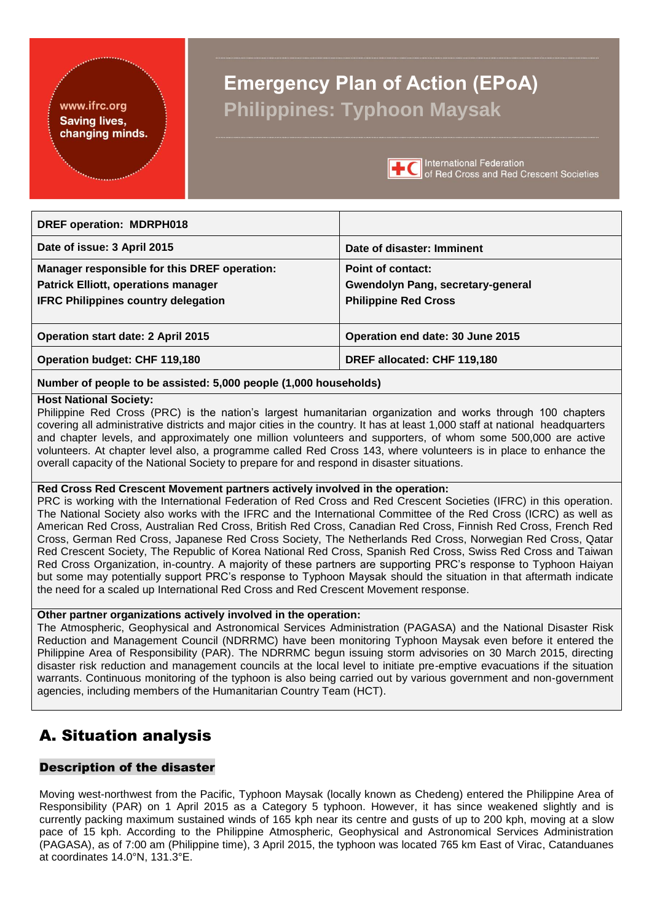#### <span id="page-0-0"></span>www.ifrc.org **Saving lives,** changing minds.

## **Emergency Plan of Action (EPoA) Philippines: Typhoon Maysak**



**International Federation** of Red Cross and Red Crescent Societies

| <b>DREF operation: MDRPH018</b>              |                                          |
|----------------------------------------------|------------------------------------------|
| Date of issue: 3 April 2015                  | Date of disaster: Imminent               |
| Manager responsible for this DREF operation: | Point of contact:                        |
| <b>Patrick Elliott, operations manager</b>   | <b>Gwendolyn Pang, secretary-general</b> |
| <b>IFRC Philippines country delegation</b>   | <b>Philippine Red Cross</b>              |
|                                              |                                          |
| <b>Operation start date: 2 April 2015</b>    | Operation end date: 30 June 2015         |
| <b>Operation budget: CHF 119,180</b>         | DREF allocated: CHF 119,180              |
|                                              |                                          |

## **Number of people to be assisted: 5,000 people (1,000 households)**

#### **Host National Society:**

Philippine Red Cross (PRC) is the nation's largest humanitarian organization and works through 100 chapters covering all administrative districts and major cities in the country. It has at least 1,000 staff at national headquarters and chapter levels, and approximately one million volunteers and supporters, of whom some 500,000 are active volunteers. At chapter level also, a programme called Red Cross 143, where volunteers is in place to enhance the overall capacity of the National Society to prepare for and respond in disaster situations.

#### **Red Cross Red Crescent Movement partners actively involved in the operation:**

PRC is working with the International Federation of Red Cross and Red Crescent Societies (IFRC) in this operation. The National Society also works with the IFRC and the International Committee of the Red Cross (ICRC) as well as American Red Cross, Australian Red Cross, British Red Cross, Canadian Red Cross, Finnish Red Cross, French Red Cross, German Red Cross, Japanese Red Cross Society, The Netherlands Red Cross, Norwegian Red Cross, Qatar Red Crescent Society, The Republic of Korea National Red Cross, Spanish Red Cross, Swiss Red Cross and Taiwan Red Cross Organization, in-country. A majority of these partners are supporting PRC's response to Typhoon Haiyan but some may potentially support PRC's response to Typhoon Maysak should the situation in that aftermath indicate the need for a scaled up International Red Cross and Red Crescent Movement response.

#### **Other partner organizations actively involved in the operation:**

The Atmospheric, Geophysical and Astronomical Services Administration (PAGASA) and the National Disaster Risk Reduction and Management Council (NDRRMC) have been monitoring Typhoon Maysak even before it entered the Philippine Area of Responsibility (PAR). The NDRRMC begun issuing storm advisories on 30 March 2015, directing disaster risk reduction and management councils at the local level to initiate pre-emptive evacuations if the situation warrants. Continuous monitoring of the typhoon is also being carried out by various government and non-government agencies, including members of the Humanitarian Country Team (HCT).

## A. Situation analysis

### Description of the disaster

Moving west-northwest from the Pacific, Typhoon Maysak (locally known as Chedeng) entered the Philippine Area of Responsibility (PAR) on 1 April 2015 as a Category 5 typhoon. However, it has since weakened slightly and is currently packing maximum sustained winds of 165 kph near its centre and gusts of up to 200 kph, moving at a slow pace of 15 kph. According to the Philippine Atmospheric, Geophysical and Astronomical Services Administration (PAGASA), as of 7:00 am (Philippine time), 3 April 2015, the typhoon was located 765 km East of Virac, Catanduanes at coordinates 14.0°N, 131.3°E.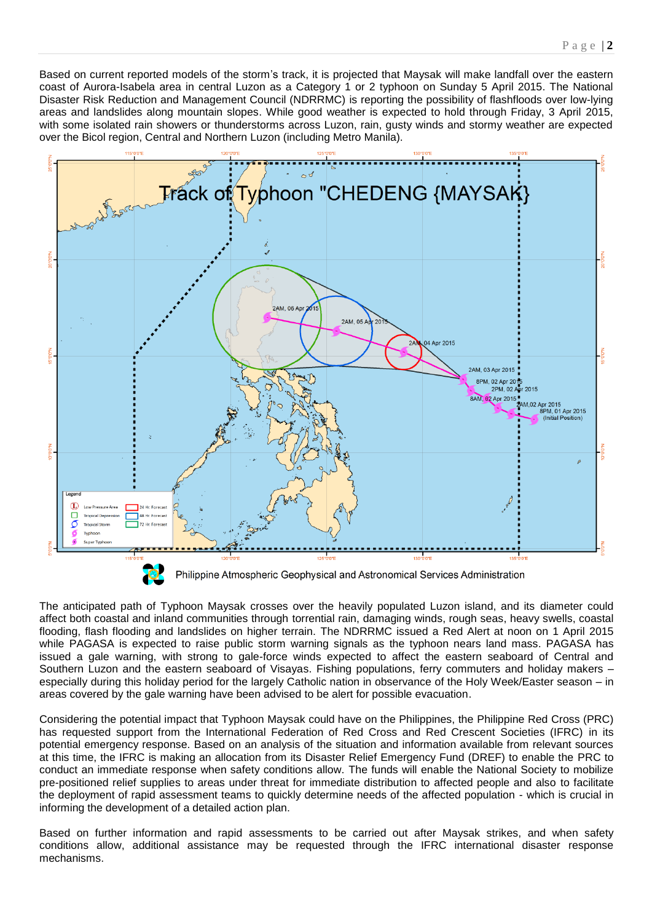Based on current reported models of the storm's track, it is projected that Maysak will make landfall over the eastern coast of Aurora-Isabela area in central Luzon as a Category 1 or 2 typhoon on Sunday 5 April 2015. The National Disaster Risk Reduction and Management Council (NDRRMC) is reporting the possibility of flashfloods over low-lying areas and landslides along mountain slopes. While good weather is expected to hold through Friday, 3 April 2015, with some isolated rain showers or thunderstorms across Luzon, rain, gusty winds and stormy weather are expected over the Bicol region, Central and Northern Luzon (including Metro Manila).



The anticipated path of Typhoon Maysak crosses over the heavily populated Luzon island, and its diameter could affect both coastal and inland communities through torrential rain, damaging winds, rough seas, heavy swells, coastal flooding, flash flooding and landslides on higher terrain. The NDRRMC issued a Red Alert at noon on 1 April 2015 while PAGASA is expected to raise public storm warning signals as the typhoon nears land mass. PAGASA has issued a gale warning, with strong to gale-force winds expected to affect the eastern seaboard of Central and Southern Luzon and the eastern seaboard of Visayas. Fishing populations, ferry commuters and holiday makers – especially during this holiday period for the largely Catholic nation in observance of the Holy Week/Easter season – in areas covered by the gale warning have been advised to be alert for possible evacuation.

Considering the potential impact that Typhoon Maysak could have on the Philippines, the Philippine Red Cross (PRC) has requested support from the International Federation of Red Cross and Red Crescent Societies (IFRC) in its potential emergency response. Based on an analysis of the situation and information available from relevant sources at this time, the IFRC is making an allocation from its Disaster Relief Emergency Fund (DREF) to enable the PRC to conduct an immediate response when safety conditions allow. The funds will enable the National Society to mobilize pre-positioned relief supplies to areas under threat for immediate distribution to affected people and also to facilitate the deployment of rapid assessment teams to quickly determine needs of the affected population - which is crucial in informing the development of a detailed action plan.

Based on further information and rapid assessments to be carried out after Maysak strikes, and when safety conditions allow, additional assistance may be requested through the IFRC international disaster response mechanisms.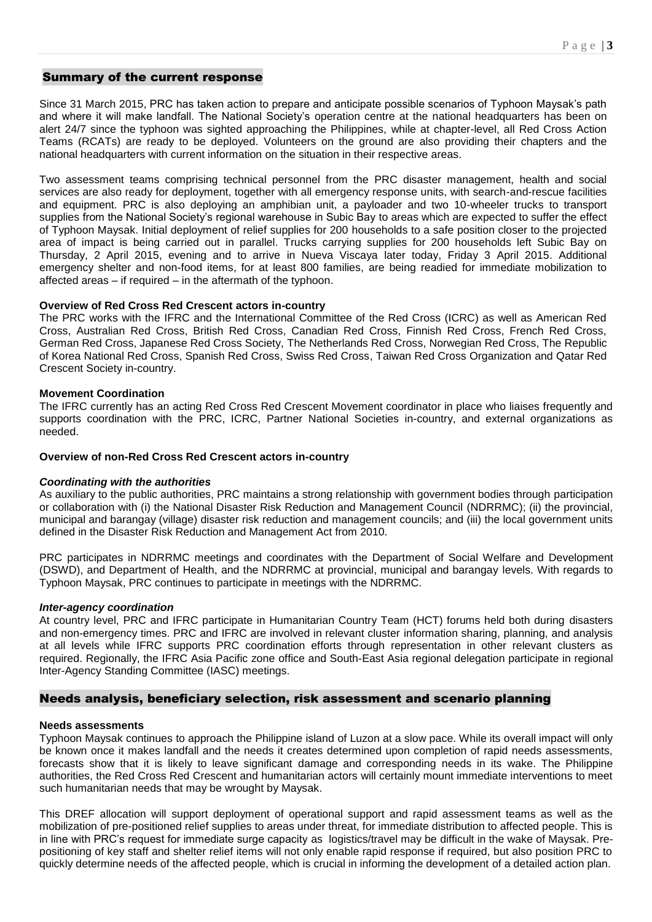#### Summary of the current response

Since 31 March 2015, PRC has taken action to prepare and anticipate possible scenarios of Typhoon Maysak's path and where it will make landfall. The National Society's operation centre at the national headquarters has been on alert 24/7 since the typhoon was sighted approaching the Philippines, while at chapter-level, all Red Cross Action Teams (RCATs) are ready to be deployed. Volunteers on the ground are also providing their chapters and the national headquarters with current information on the situation in their respective areas.

Two assessment teams comprising technical personnel from the PRC disaster management, health and social services are also ready for deployment, together with all emergency response units, with search-and-rescue facilities and equipment. PRC is also deploying an amphibian unit, a payloader and two 10-wheeler trucks to transport supplies from the National Society's regional warehouse in Subic Bay to areas which are expected to suffer the effect of Typhoon Maysak. Initial deployment of relief supplies for 200 households to a safe position closer to the projected area of impact is being carried out in parallel. Trucks carrying supplies for 200 households left Subic Bay on Thursday, 2 April 2015, evening and to arrive in Nueva Viscaya later today, Friday 3 April 2015. Additional emergency shelter and non-food items, for at least 800 families, are being readied for immediate mobilization to affected areas – if required – in the aftermath of the typhoon.

#### **Overview of Red Cross Red Crescent actors in-country**

The PRC works with the IFRC and the International Committee of the Red Cross (ICRC) as well as American Red Cross, Australian Red Cross, British Red Cross, Canadian Red Cross, Finnish Red Cross, French Red Cross, German Red Cross, Japanese Red Cross Society, The Netherlands Red Cross, Norwegian Red Cross, The Republic of Korea National Red Cross, Spanish Red Cross, Swiss Red Cross, Taiwan Red Cross Organization and Qatar Red Crescent Society in-country.

#### **Movement Coordination**

The IFRC currently has an acting Red Cross Red Crescent Movement coordinator in place who liaises frequently and supports coordination with the PRC, ICRC, Partner National Societies in-country, and external organizations as needed.

#### **Overview of non-Red Cross Red Crescent actors in-country**

#### *Coordinating with the authorities*

As auxiliary to the public authorities, PRC maintains a strong relationship with government bodies through participation or collaboration with (i) the National Disaster Risk Reduction and Management Council (NDRRMC); (ii) the provincial, municipal and barangay (village) disaster risk reduction and management councils; and (iii) the local government units defined in the Disaster Risk Reduction and Management Act from 2010.

PRC participates in NDRRMC meetings and coordinates with the Department of Social Welfare and Development (DSWD), and Department of Health, and the NDRRMC at provincial, municipal and barangay levels. With regards to Typhoon Maysak, PRC continues to participate in meetings with the NDRRMC.

#### *Inter-agency coordination*

At country level, PRC and IFRC participate in Humanitarian Country Team (HCT) forums held both during disasters and non-emergency times. PRC and IFRC are involved in relevant cluster information sharing, planning, and analysis at all levels while IFRC supports PRC coordination efforts through representation in other relevant clusters as required. Regionally, the IFRC Asia Pacific zone office and South-East Asia regional delegation participate in regional Inter-Agency Standing Committee (IASC) meetings.

#### Needs analysis, beneficiary selection, risk assessment and scenario planning

#### **Needs assessments**

Typhoon Maysak continues to approach the Philippine island of Luzon at a slow pace. While its overall impact will only be known once it makes landfall and the needs it creates determined upon completion of rapid needs assessments, forecasts show that it is likely to leave significant damage and corresponding needs in its wake. The Philippine authorities, the Red Cross Red Crescent and humanitarian actors will certainly mount immediate interventions to meet such humanitarian needs that may be wrought by Maysak.

This DREF allocation will support deployment of operational support and rapid assessment teams as well as the mobilization of pre-positioned relief supplies to areas under threat, for immediate distribution to affected people. This is in line with PRC's request for immediate surge capacity as logistics/travel may be difficult in the wake of Maysak. Prepositioning of key staff and shelter relief items will not only enable rapid response if required, but also position PRC to quickly determine needs of the affected people, which is crucial in informing the development of a detailed action plan.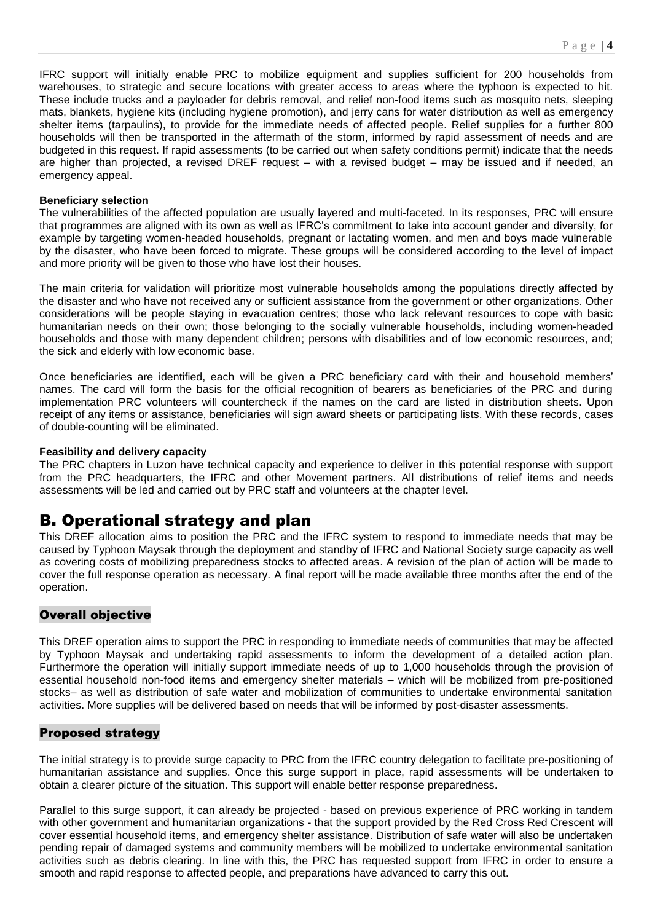IFRC support will initially enable PRC to mobilize equipment and supplies sufficient for 200 households from warehouses, to strategic and secure locations with greater access to areas where the typhoon is expected to hit. These include trucks and a payloader for debris removal, and relief non-food items such as mosquito nets, sleeping mats, blankets, hygiene kits (including hygiene promotion), and jerry cans for water distribution as well as emergency shelter items (tarpaulins), to provide for the immediate needs of affected people. Relief supplies for a further 800 households will then be transported in the aftermath of the storm, informed by rapid assessment of needs and are budgeted in this request. If rapid assessments (to be carried out when safety conditions permit) indicate that the needs are higher than projected, a revised DREF request – with a revised budget – may be issued and if needed, an emergency appeal.

#### **Beneficiary selection**

The vulnerabilities of the affected population are usually layered and multi-faceted. In its responses, PRC will ensure that programmes are aligned with its own as well as IFRC's commitment to take into account gender and diversity, for example by targeting women-headed households, pregnant or lactating women, and men and boys made vulnerable by the disaster, who have been forced to migrate. These groups will be considered according to the level of impact and more priority will be given to those who have lost their houses.

The main criteria for validation will prioritize most vulnerable households among the populations directly affected by the disaster and who have not received any or sufficient assistance from the government or other organizations. Other considerations will be people staying in evacuation centres; those who lack relevant resources to cope with basic humanitarian needs on their own; those belonging to the socially vulnerable households, including women-headed households and those with many dependent children; persons with disabilities and of low economic resources, and; the sick and elderly with low economic base.

Once beneficiaries are identified, each will be given a PRC beneficiary card with their and household members' names. The card will form the basis for the official recognition of bearers as beneficiaries of the PRC and during implementation PRC volunteers will countercheck if the names on the card are listed in distribution sheets. Upon receipt of any items or assistance, beneficiaries will sign award sheets or participating lists. With these records, cases of double-counting will be eliminated.

#### **Feasibility and delivery capacity**

The PRC chapters in Luzon have technical capacity and experience to deliver in this potential response with support from the PRC headquarters, the IFRC and other Movement partners. All distributions of relief items and needs assessments will be led and carried out by PRC staff and volunteers at the chapter level.

### B. Operational strategy and plan

This DREF allocation aims to position the PRC and the IFRC system to respond to immediate needs that may be caused by Typhoon Maysak through the deployment and standby of IFRC and National Society surge capacity as well as covering costs of mobilizing preparedness stocks to affected areas. A revision of the plan of action will be made to cover the full response operation as necessary. A final report will be made available three months after the end of the operation.

#### Overall objective

This DREF operation aims to support the PRC in responding to immediate needs of communities that may be affected by Typhoon Maysak and undertaking rapid assessments to inform the development of a detailed action plan. Furthermore the operation will initially support immediate needs of up to 1,000 households through the provision of essential household non-food items and emergency shelter materials – which will be mobilized from pre-positioned stocks– as well as distribution of safe water and mobilization of communities to undertake environmental sanitation activities. More supplies will be delivered based on needs that will be informed by post-disaster assessments.

### Proposed strategy

The initial strategy is to provide surge capacity to PRC from the IFRC country delegation to facilitate pre-positioning of humanitarian assistance and supplies. Once this surge support in place, rapid assessments will be undertaken to obtain a clearer picture of the situation. This support will enable better response preparedness.

Parallel to this surge support, it can already be projected - based on previous experience of PRC working in tandem with other government and humanitarian organizations - that the support provided by the Red Cross Red Crescent will cover essential household items, and emergency shelter assistance. Distribution of safe water will also be undertaken pending repair of damaged systems and community members will be mobilized to undertake environmental sanitation activities such as debris clearing. In line with this, the PRC has requested support from IFRC in order to ensure a smooth and rapid response to affected people, and preparations have advanced to carry this out.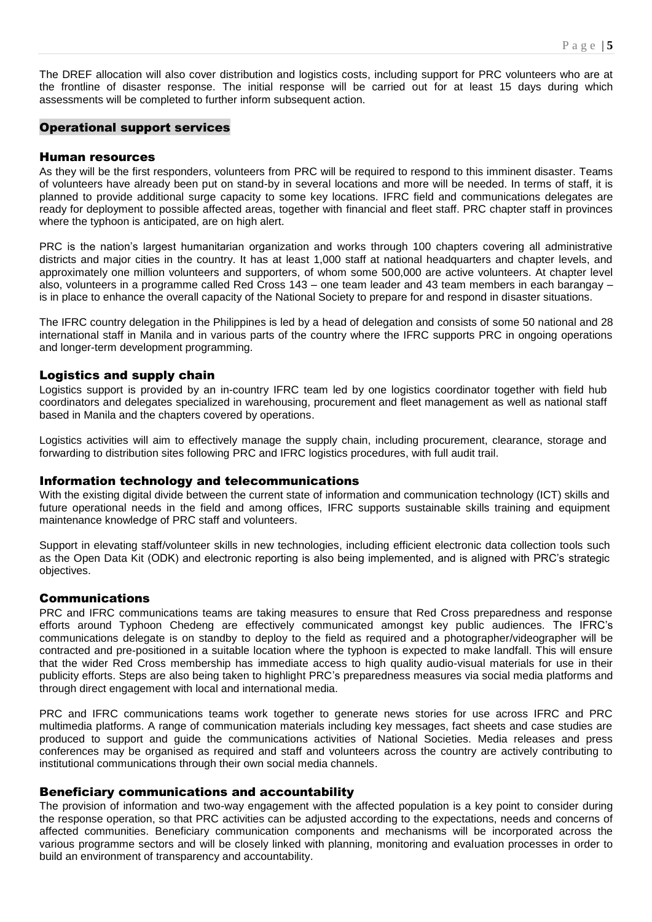The DREF allocation will also cover distribution and logistics costs, including support for PRC volunteers who are at the frontline of disaster response. The initial response will be carried out for at least 15 days during which assessments will be completed to further inform subsequent action.

#### Operational support services

#### Human resources

As they will be the first responders, volunteers from PRC will be required to respond to this imminent disaster. Teams of volunteers have already been put on stand-by in several locations and more will be needed. In terms of staff, it is planned to provide additional surge capacity to some key locations. IFRC field and communications delegates are ready for deployment to possible affected areas, together with financial and fleet staff. PRC chapter staff in provinces where the typhoon is anticipated, are on high alert.

PRC is the nation's largest humanitarian organization and works through 100 chapters covering all administrative districts and major cities in the country. It has at least 1,000 staff at national headquarters and chapter levels, and approximately one million volunteers and supporters, of whom some 500,000 are active volunteers. At chapter level also, volunteers in a programme called Red Cross 143 – one team leader and 43 team members in each barangay – is in place to enhance the overall capacity of the National Society to prepare for and respond in disaster situations.

The IFRC country delegation in the Philippines is led by a head of delegation and consists of some 50 national and 28 international staff in Manila and in various parts of the country where the IFRC supports PRC in ongoing operations and longer-term development programming.

#### Logistics and supply chain

Logistics support is provided by an in-country IFRC team led by one logistics coordinator together with field hub coordinators and delegates specialized in warehousing, procurement and fleet management as well as national staff based in Manila and the chapters covered by operations.

Logistics activities will aim to effectively manage the supply chain, including procurement, clearance, storage and forwarding to distribution sites following PRC and IFRC logistics procedures, with full audit trail.

#### Information technology and telecommunications

With the existing digital divide between the current state of information and communication technology (ICT) skills and future operational needs in the field and among offices, IFRC supports sustainable skills training and equipment maintenance knowledge of PRC staff and volunteers.

Support in elevating staff/volunteer skills in new technologies, including efficient electronic data collection tools such as the Open Data Kit (ODK) and electronic reporting is also being implemented, and is aligned with PRC's strategic objectives.

#### Communications

PRC and IFRC communications teams are taking measures to ensure that Red Cross preparedness and response efforts around Typhoon Chedeng are effectively communicated amongst key public audiences. The IFRC's communications delegate is on standby to deploy to the field as required and a photographer/videographer will be contracted and pre-positioned in a suitable location where the typhoon is expected to make landfall. This will ensure that the wider Red Cross membership has immediate access to high quality audio-visual materials for use in their publicity efforts. Steps are also being taken to highlight PRC's preparedness measures via social media platforms and through direct engagement with local and international media.

PRC and IFRC communications teams work together to generate news stories for use across IFRC and PRC multimedia platforms. A range of communication materials including key messages, fact sheets and case studies are produced to support and guide the communications activities of National Societies. Media releases and press conferences may be organised as required and staff and volunteers across the country are actively contributing to institutional communications through their own social media channels.

#### Beneficiary communications and accountability

The provision of information and two-way engagement with the affected population is a key point to consider during the response operation, so that PRC activities can be adjusted according to the expectations, needs and concerns of affected communities. Beneficiary communication components and mechanisms will be incorporated across the various programme sectors and will be closely linked with planning, monitoring and evaluation processes in order to build an environment of transparency and accountability.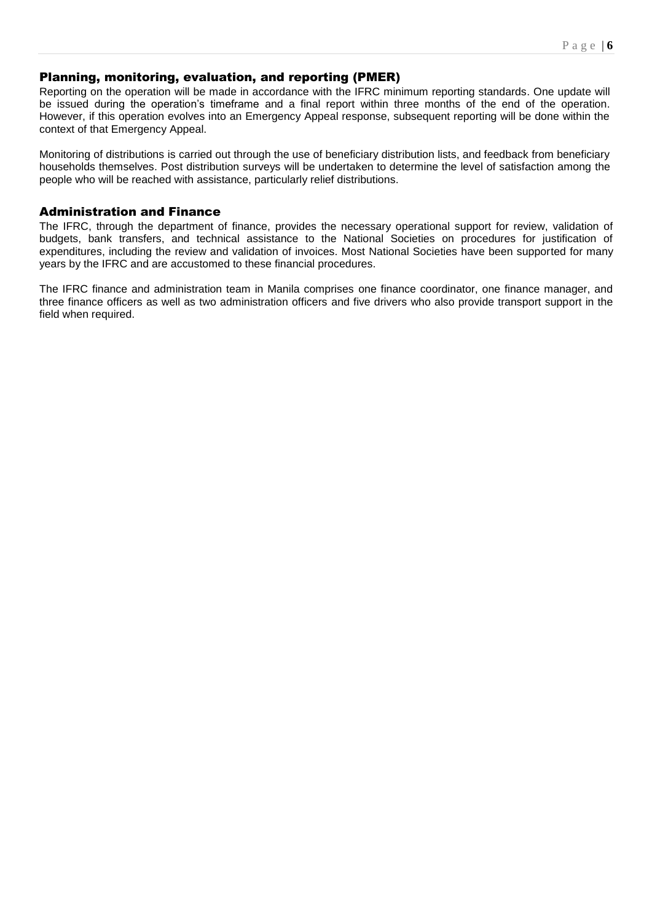#### Planning, monitoring, evaluation, and reporting (PMER)

Reporting on the operation will be made in accordance with the IFRC minimum reporting standards. One update will be issued during the operation's timeframe and a final report within three months of the end of the operation. However, if this operation evolves into an Emergency Appeal response, subsequent reporting will be done within the context of that Emergency Appeal.

Monitoring of distributions is carried out through the use of beneficiary distribution lists, and feedback from beneficiary households themselves. Post distribution surveys will be undertaken to determine the level of satisfaction among the people who will be reached with assistance, particularly relief distributions.

#### Administration and Finance

The IFRC, through the department of finance, provides the necessary operational support for review, validation of budgets, bank transfers, and technical assistance to the National Societies on procedures for justification of expenditures, including the review and validation of invoices. Most National Societies have been supported for many years by the IFRC and are accustomed to these financial procedures.

The IFRC finance and administration team in Manila comprises one finance coordinator, one finance manager, and three finance officers as well as two administration officers and five drivers who also provide transport support in the field when required.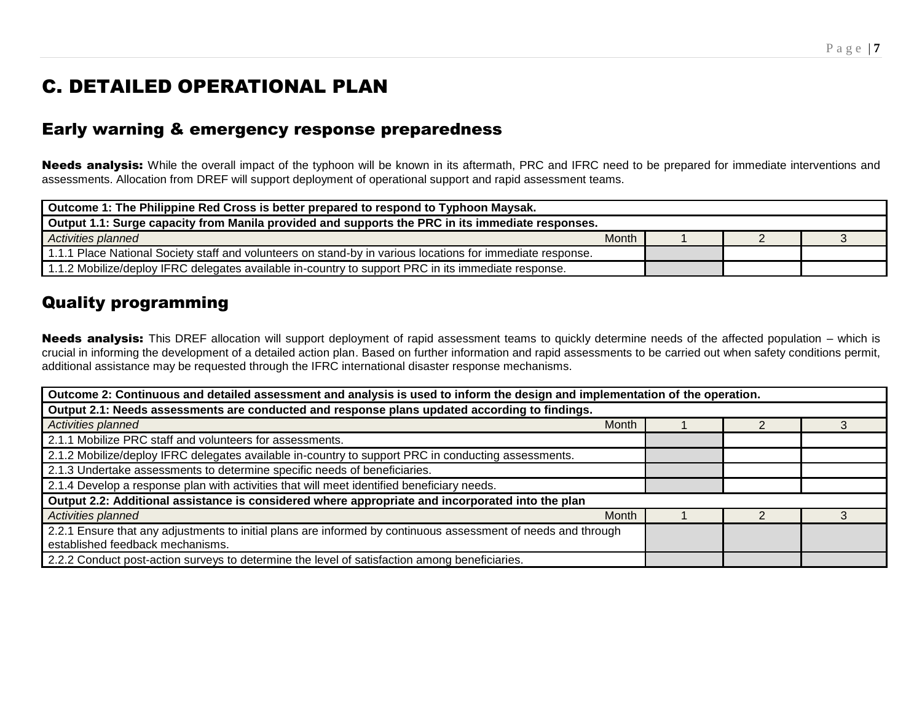## C. DETAILED OPERATIONAL PLAN

## Early warning & emergency response preparedness

Needs analysis: While the overall impact of the typhoon will be known in its aftermath, PRC and IFRC need to be prepared for immediate interventions and assessments. Allocation from DREF will support deployment of operational support and rapid assessment teams.

| Outcome 1: The Philippine Red Cross is better prepared to respond to Typhoon Maysak.                       |              |  |  |  |
|------------------------------------------------------------------------------------------------------------|--------------|--|--|--|
| Output 1.1: Surge capacity from Manila provided and supports the PRC in its immediate responses.           |              |  |  |  |
| Activities planned                                                                                         | <b>Month</b> |  |  |  |
| 1.1.1 Place National Society staff and volunteers on stand-by in various locations for immediate response. |              |  |  |  |
| 1.1.2 Mobilize/deploy IFRC delegates available in-country to support PRC in its immediate response.        |              |  |  |  |

## Quality programming

Needs analysis: This DREF allocation will support deployment of rapid assessment teams to quickly determine needs of the affected population – which is crucial in informing the development of a detailed action plan. Based on further information and rapid assessments to be carried out when safety conditions permit, additional assistance may be requested through the IFRC international disaster response mechanisms.

| Outcome 2: Continuous and detailed assessment and analysis is used to inform the design and implementation of the operation. |  |  |  |  |
|------------------------------------------------------------------------------------------------------------------------------|--|--|--|--|
| Output 2.1: Needs assessments are conducted and response plans updated according to findings.                                |  |  |  |  |
| Activities planned<br><b>Month</b>                                                                                           |  |  |  |  |
| 2.1.1 Mobilize PRC staff and volunteers for assessments.                                                                     |  |  |  |  |
| 2.1.2 Mobilize/deploy IFRC delegates available in-country to support PRC in conducting assessments.                          |  |  |  |  |
| 2.1.3 Undertake assessments to determine specific needs of beneficiaries.                                                    |  |  |  |  |
| 2.1.4 Develop a response plan with activities that will meet identified beneficiary needs.                                   |  |  |  |  |
| Output 2.2: Additional assistance is considered where appropriate and incorporated into the plan                             |  |  |  |  |
| <b>Month</b><br>Activities planned                                                                                           |  |  |  |  |
| 2.2.1 Ensure that any adjustments to initial plans are informed by continuous assessment of needs and through                |  |  |  |  |
| established feedback mechanisms.                                                                                             |  |  |  |  |
| 2.2.2 Conduct post-action surveys to determine the level of satisfaction among beneficiaries.                                |  |  |  |  |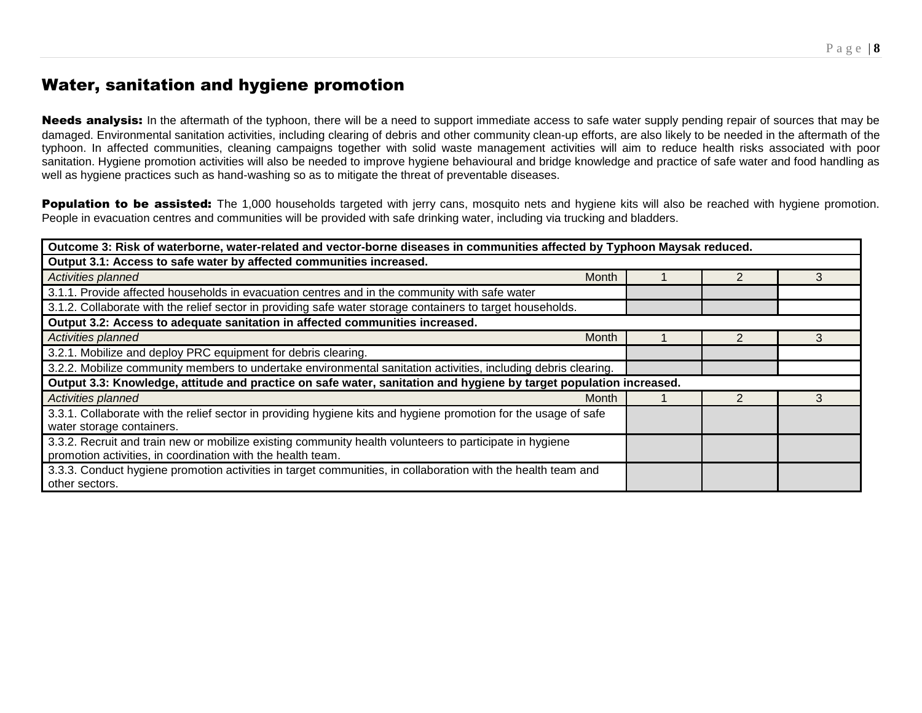## Water, sanitation and hygiene promotion

Needs analysis: In the aftermath of the typhoon, there will be a need to support immediate access to safe water supply pending repair of sources that may be damaged. Environmental sanitation activities, including clearing of debris and other community clean-up efforts, are also likely to be needed in the aftermath of the typhoon. In affected communities, cleaning campaigns together with solid waste management activities will aim to reduce health risks associated with poor sanitation. Hygiene promotion activities will also be needed to improve hygiene behavioural and bridge knowledge and practice of safe water and food handling as well as hygiene practices such as hand-washing so as to mitigate the threat of preventable diseases.

Population to be assisted: The 1,000 households targeted with jerry cans, mosquito nets and hygiene kits will also be reached with hygiene promotion. People in evacuation centres and communities will be provided with safe drinking water, including via trucking and bladders.

| Outcome 3: Risk of waterborne, water-related and vector-borne diseases in communities affected by Typhoon Maysak reduced. |  |  |   |  |
|---------------------------------------------------------------------------------------------------------------------------|--|--|---|--|
| Output 3.1: Access to safe water by affected communities increased.                                                       |  |  |   |  |
| Activities planned<br>Month                                                                                               |  |  | 3 |  |
| 3.1.1. Provide affected households in evacuation centres and in the community with safe water                             |  |  |   |  |
| 3.1.2. Collaborate with the relief sector in providing safe water storage containers to target households.                |  |  |   |  |
| Output 3.2: Access to adequate sanitation in affected communities increased.                                              |  |  |   |  |
| <b>Activities planned</b><br>Month                                                                                        |  |  |   |  |
| 3.2.1. Mobilize and deploy PRC equipment for debris clearing.                                                             |  |  |   |  |
| 3.2.2. Mobilize community members to undertake environmental sanitation activities, including debris clearing.            |  |  |   |  |
| Output 3.3: Knowledge, attitude and practice on safe water, sanitation and hygiene by target population increased.        |  |  |   |  |
| Month<br>Activities planned                                                                                               |  |  |   |  |
| 3.3.1. Collaborate with the relief sector in providing hygiene kits and hygiene promotion for the usage of safe           |  |  |   |  |
| water storage containers.                                                                                                 |  |  |   |  |
| 3.3.2. Recruit and train new or mobilize existing community health volunteers to participate in hygiene                   |  |  |   |  |
| promotion activities, in coordination with the health team.                                                               |  |  |   |  |
| 3.3.3. Conduct hygiene promotion activities in target communities, in collaboration with the health team and              |  |  |   |  |
| other sectors.                                                                                                            |  |  |   |  |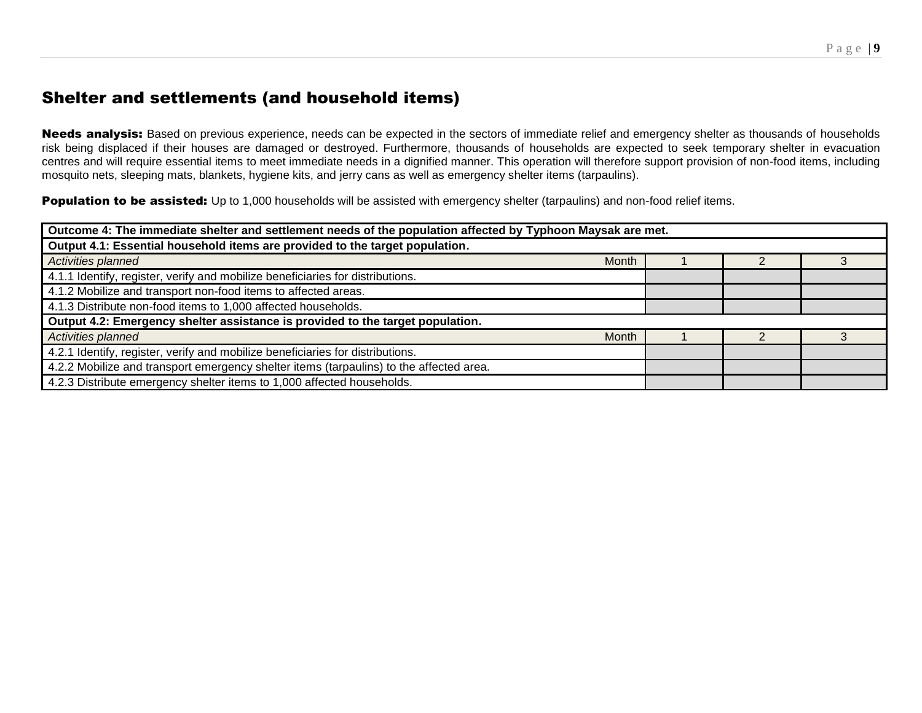## Shelter and settlements (and household items)

Needs analysis: Based on previous experience, needs can be expected in the sectors of immediate relief and emergency shelter as thousands of households risk being displaced if their houses are damaged or destroyed. Furthermore, thousands of households are expected to seek temporary shelter in evacuation centres and will require essential items to meet immediate needs in a dignified manner. This operation will therefore support provision of non-food items, including mosquito nets, sleeping mats, blankets, hygiene kits, and jerry cans as well as emergency shelter items (tarpaulins).

**Population to be assisted:** Up to 1,000 households will be assisted with emergency shelter (tarpaulins) and non-food relief items.

| Outcome 4: The immediate shelter and settlement needs of the population affected by Typhoon Maysak are met. |              |  |  |  |
|-------------------------------------------------------------------------------------------------------------|--------------|--|--|--|
| Output 4.1: Essential household items are provided to the target population.                                |              |  |  |  |
| Activities planned                                                                                          | <b>Month</b> |  |  |  |
| 4.1.1 Identify, register, verify and mobilize beneficiaries for distributions.                              |              |  |  |  |
| 4.1.2 Mobilize and transport non-food items to affected areas.                                              |              |  |  |  |
| 4.1.3 Distribute non-food items to 1,000 affected households.                                               |              |  |  |  |
| Output 4.2: Emergency shelter assistance is provided to the target population.                              |              |  |  |  |
| Activities planned                                                                                          | <b>Month</b> |  |  |  |
| 4.2.1 Identify, register, verify and mobilize beneficiaries for distributions.                              |              |  |  |  |
| 4.2.2 Mobilize and transport emergency shelter items (tarpaulins) to the affected area.                     |              |  |  |  |
| 4.2.3 Distribute emergency shelter items to 1,000 affected households.                                      |              |  |  |  |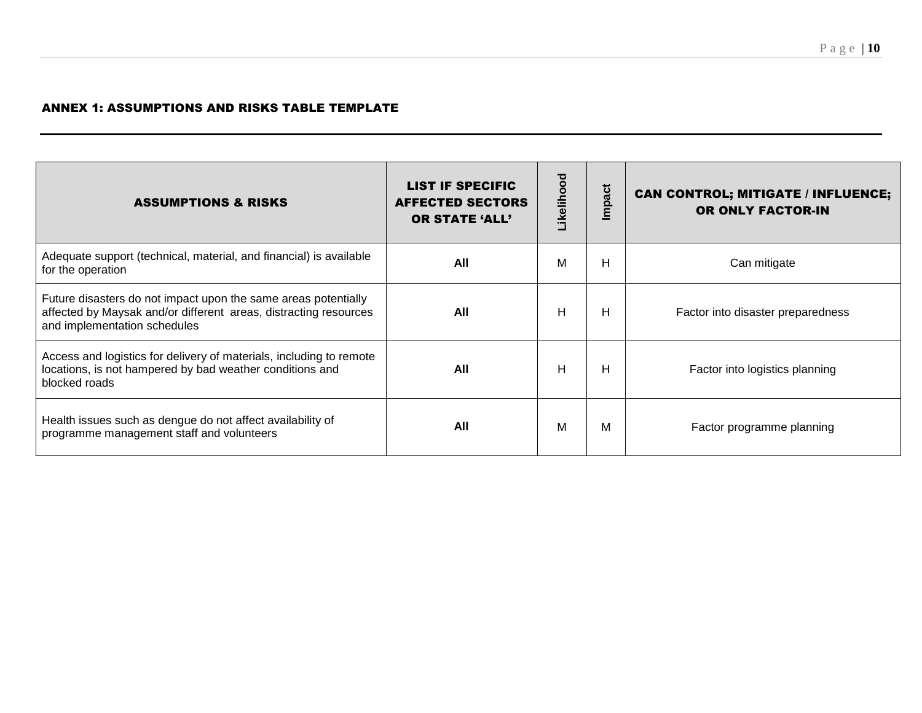#### ANNEX 1: ASSUMPTIONS AND RISKS TABLE TEMPLATE

| <b>ASSUMPTIONS &amp; RISKS</b>                                                                                                                                     | <b>LIST IF SPECIFIC</b><br><b>AFFECTED SECTORS</b><br><b>OR STATE 'ALL'</b> | Likelihood | mpact | <b>CAN CONTROL; MITIGATE / INFLUENCE;</b><br>OR ONLY FACTOR-IN |
|--------------------------------------------------------------------------------------------------------------------------------------------------------------------|-----------------------------------------------------------------------------|------------|-------|----------------------------------------------------------------|
| Adequate support (technical, material, and financial) is available<br>for the operation                                                                            | All                                                                         | м          | н     | Can mitigate                                                   |
| Future disasters do not impact upon the same areas potentially<br>affected by Maysak and/or different areas, distracting resources<br>and implementation schedules | All                                                                         | H          | н     | Factor into disaster preparedness                              |
| Access and logistics for delivery of materials, including to remote<br>locations, is not hampered by bad weather conditions and<br>blocked roads                   | All                                                                         | H          | н     | Factor into logistics planning                                 |
| Health issues such as dengue do not affect availability of<br>programme management staff and volunteers                                                            | All                                                                         | М          | м     | Factor programme planning                                      |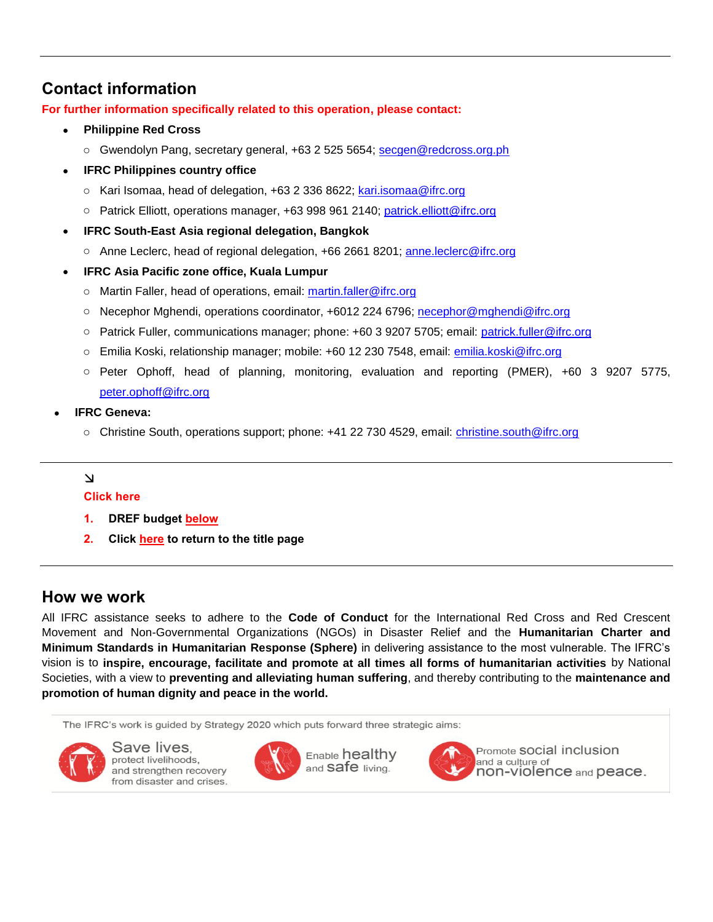## **Contact information**

**For further information specifically related to this operation, please contact:**

- **Philippine Red Cross**
	- o Gwendolyn Pang, secretary general, +63 2 525 5654; [secgen@redcross.org.ph](mailto:secgen@redcross.org.ph)
- **IFRC Philippines country office**
	- o Kari Isomaa, head of delegation, +63 2 336 8622; [kari.isomaa@ifrc.org](mailto:kari.isomaa@ifrc.org)
	- o Patrick Elliott, operations manager, +63 998 961 2140; [patrick.elliott@ifrc.org](mailto:patrick.elliott@ifrc.org)
- **IFRC South-East Asia regional delegation, Bangkok**
	- o Anne Leclerc, head of regional delegation, +66 2661 8201; [anne.leclerc@ifrc.org](mailto:anne.leclerc@ifrc.org)
- **IFRC Asia Pacific zone office, Kuala Lumpur**
	- o Martin Faller, head of operations, email: [martin.faller@ifrc.org](mailto:martin.faller@ifrc.org)
	- o Necephor Mghendi, operations coordinator, +6012 224 6796; [necephor@mghendi@ifrc.org](mailto:necephor@mghendi@ifrc.org)
	- o Patrick Fuller, communications manager; phone: +60 3 9207 5705; email: [patrick.fuller@ifrc.org](mailto:patrick.fuller@ifrc.org)
	- o Emilia Koski, relationship manager; mobile: +60 12 230 7548, email: [emilia.koski@ifrc.org](mailto:emilia.koski@ifrc.org)
	- o Peter Ophoff, head of planning, monitoring, evaluation and reporting (PMER), +60 3 9207 5775, [peter.ophoff@ifrc.org](mailto:peter.ophoff@ifrc.org)
- **IFRC Geneva:** 
	- o Christine South, operations support; phone: +41 22 730 4529, email: [christine.south@ifrc.org](mailto:christine.south@ifrc.org)

#### $\Delta$

#### **Click here**

- **1. DREF budget [below](#page-11-0)**
- **2. Click [here](#page-0-0) to return to the title page**

### **How we work**

All IFRC assistance seeks to adhere to the **Code of Conduct** for the International Red Cross and Red Crescent Movement and Non-Governmental Organizations (NGOs) in Disaster Relief and the **Humanitarian Charter and Minimum Standards in Humanitarian Response (Sphere)** in delivering assistance to the most vulnerable. The IFRC's vision is to **inspire, encourage, facilitate and promote at all times all forms of humanitarian activities** by National Societies, with a view to **preventing and alleviating human suffering**, and thereby contributing to the **maintenance and promotion of human dignity and peace in the world.**

The IFRC's work is guided by Strategy 2020 which puts forward three strategic aims:



Save lives. protect livelihoods. and strengthen recovery from disaster and crises.







Promote SOCial inclusion and a culture of non-violence and peace.